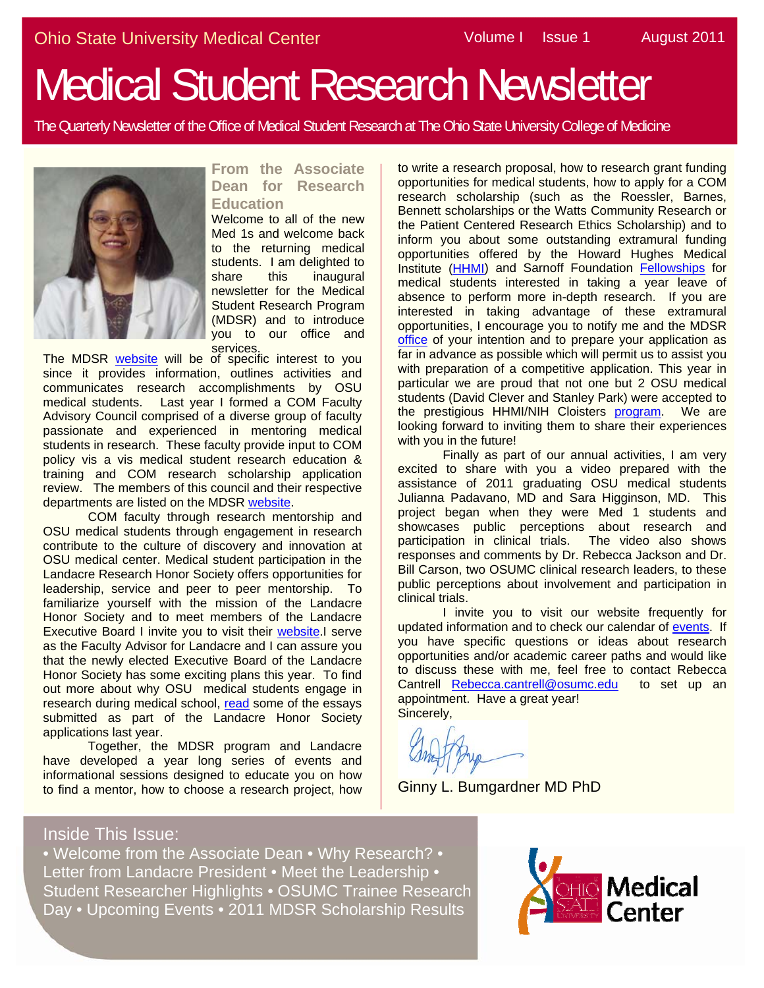# Medical Student Research Newsletter

The Quarterly Newsletter of the Office of Medical Student Research at The Ohio State University College of Medicine



#### **From the Associate Dean for Research Education**

Welcome to all of the new Med 1s and welcome back to the returning medical students. I am delighted to share this inaugural newsletter for the Medical Student Research Program (MDSR) and to introduce you to our office and **services** 

The MDSR [website](https://medicine.osu.edu/go/mdsr) will be of specific interest to you since it provides information, outlines activities and communicates research accomplishments by OSU medical students. Last year I formed a COM Faculty Advisory Council comprised of a diverse group of faculty passionate and experienced in mentoring medical students in research. These faculty provide input to COM policy vis a vis medical student research education & training and COM research scholarship application review. The members of this council and their respective departments are listed on the MDSR [website](https://medicine.osu.edu/research_ed/medical_students/leadership/pages/advisorycouncil.aspx).

 COM faculty through research mentorship and OSU medical students through engagement in research contribute to the culture of discovery and innovation at OSU medical center. Medical student participation in the Landacre Research Honor Society offers opportunities for leadership, service and peer to peer mentorship. To familiarize yourself with the mission of the Landacre Honor Society and to meet members of the Landacre Executive Board I invite you to visit their [website](https://medicine.osu.edu/students/life/organizations/honor_societies/landacre/pages/index.aspx).I serve as the Faculty Advisor for Landacre and I can assure you that the newly elected Executive Board of the Landacre Honor Society has some exciting plans this year. To find out more about why OSU medical students engage in research during medical school, [read](https://medicine.osu.edu/research_ed/medical_students/researchopportunities/pages/findfaculty.aspx) some of the essays submitted as part of the Landacre Honor Society applications last year.

Together, the MDSR program and Landacre have developed a year long series of events and informational sessions designed to educate you on how to find a mentor, how to choose a research project, how

to write a research proposal, how to research grant funding opportunities for medical students, how to apply for a COM research scholarship (such as the Roessler, Barnes, Bennett scholarships or the Watts Community Research or the Patient Centered Research Ethics Scholarship) and to inform you about some outstanding extramural funding opportunities offered by the Howard Hughes Medical Institute (HHMI) and Sarnoff Foundation Fellowships for medical students interested in taking a year leave of absence to perform more in-depth research. If you are interested in taking advantage of these extramural opportunities, I encourage you to notify me and the MDSR office of your intention and to prepare your application as far in advance as possible which will permit us to assist you with preparation of a competitive application. This year in particular we are proud that not one but 2 OSU medical students (David Clever and Stanley Park) were accepted to the prestigious HHMI/NIH Cloisters program. We are looking forward to inviting them to share their experiences with you in the future!

Finally as part of our annual activities, I am very excited to share with you a video prepared with the assistance of 2011 graduating OSU medical students Julianna Padavano, MD and Sara Higginson, MD. This project began when they were Med 1 students and showcases public perceptions about research and participation in clinical trials. The video also shows responses and comments by Dr. Rebecca Jackson and Dr. Bill Carson, two OSUMC clinical research leaders, to these public perceptions about involvement and participation in clinical trials.

I invite you to visit our website frequently for updated information and to check our calendar of [events.](http://www.hhmi.org/) If you have specific questions or ideas about research opportunities and/or academic career paths and would like to discuss these with me, feel free to contact Rebecca Cantrell [Rebecca.cantrell@osumc.edu](http://www.sarnoffendowment.org/program/index.cfm) to set up an appointment. Have a great year! Sincerely,

Ginny L. Bumgardner MD PhD

#### Inside This Issue:

• Welcome from the Associate Dean • Why Research? • Letter from Landacre President • Meet the Leadership • Student Researcher Highlights • OSUMC Trainee Research Day • Upcoming Events • 2011 MDSR Scholarship Results

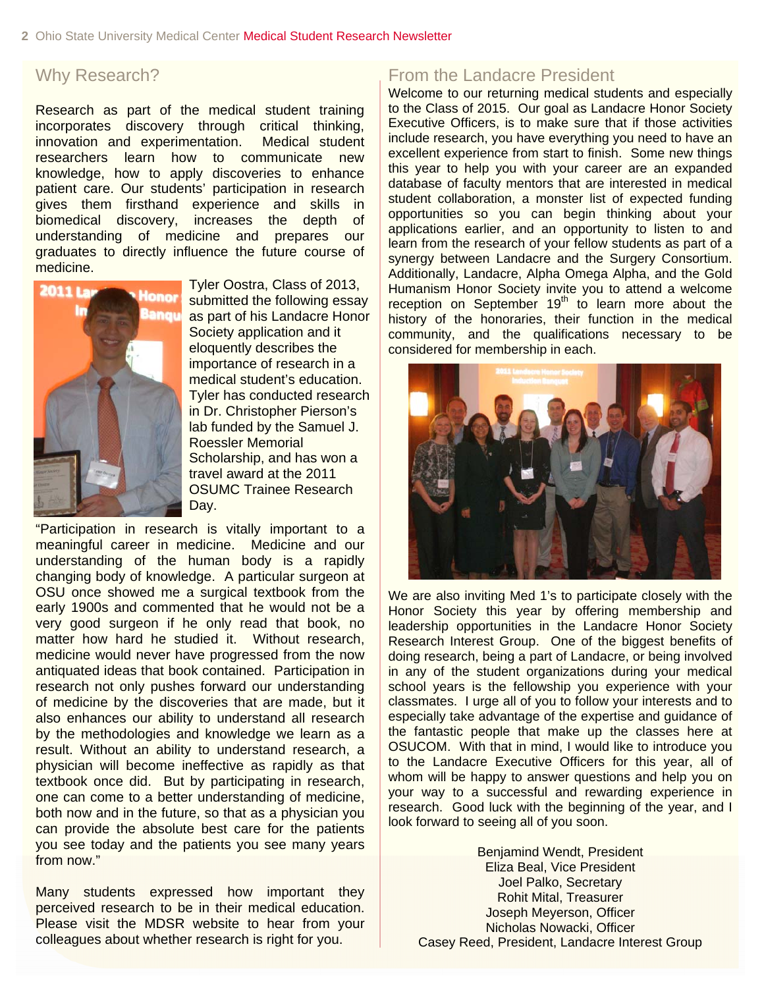Research as part of the medical student training incorporates discovery through critical thinking, innovation and experimentation. Medical student researchers learn how to communicate new knowledge, how to apply discoveries to enhance patient care. Our students' participation in research gives them firsthand experience and skills in biomedical discovery, increases the depth of understanding of medicine and prepares our graduates to directly influence the future course of medicine.



Tyler Oostra, Class of 2013, submitted the following essay as part of his Landacre Honor Society application and it eloquently describes the importance of research in a medical student's education. Tyler has conducted research in Dr. Christopher Pierson's lab funded by the Samuel J. Roessler Memorial Scholarship, and has won a travel award at the 2011 OSUMC Trainee Research Day.

"Participation in research is vitally important to a meaningful career in medicine. Medicine and our understanding of the human body is a rapidly changing body of knowledge. A particular surgeon at OSU once showed me a surgical textbook from the early 1900s and commented that he would not be a very good surgeon if he only read that book, no matter how hard he studied it. Without research, medicine would never have progressed from the now antiquated ideas that book contained. Participation in research not only pushes forward our understanding of medicine by the discoveries that are made, but it also enhances our ability to understand all research by the methodologies and knowledge we learn as a result. Without an ability to understand research, a physician will become ineffective as rapidly as that textbook once did. But by participating in research, one can come to a better understanding of medicine, both now and in the future, so that as a physician you can provide the absolute best care for the patients you see today and the patients you see many years from now."

Many students expressed how important they perceived research to be in their medical education. Please visit the MDSR website to hear from your colleagues about whether research is right for you.

### Why Research? **From the Landacre President**

Welcome to our returning medical students and especially to the Class of 2015. Our goal as Landacre Honor Society Executive Officers, is to make sure that if those activities include research, you have everything you need to have an excellent experience from start to finish. Some new things this year to help you with your career are an expanded database of faculty mentors that are interested in medical student collaboration, a monster list of expected funding opportunities so you can begin thinking about your applications earlier, and an opportunity to listen to and learn from the research of your fellow students as part of a synergy between Landacre and the Surgery Consortium. Additionally, Landacre, Alpha Omega Alpha, and the Gold Humanism Honor Society invite you to attend a welcome reception on September  $19<sup>th</sup>$  to learn more about the history of the honoraries, their function in the medical community, and the qualifications necessary to be considered for membership in each.



We are also inviting Med 1's to participate closely with the Honor Society this year by offering membership and leadership opportunities in the Landacre Honor Society Research Interest Group. One of the biggest benefits of doing research, being a part of Landacre, or being involved in any of the student organizations during your medical school years is the fellowship you experience with your classmates. I urge all of you to follow your interests and to especially take advantage of the expertise and guidance of the fantastic people that make up the classes here at OSUCOM. With that in mind, I would like to introduce you to the Landacre Executive Officers for this year, all of whom will be happy to answer questions and help you on your way to a successful and rewarding experience in research. Good luck with the beginning of the year, and I look forward to seeing all of you soon.

Benjamind Wendt, President Eliza Beal, Vice President Joel Palko, Secretary Rohit Mital, Treasurer Joseph Meyerson, Officer Nicholas Nowacki, Officer Casey Reed, President, Landacre Interest Group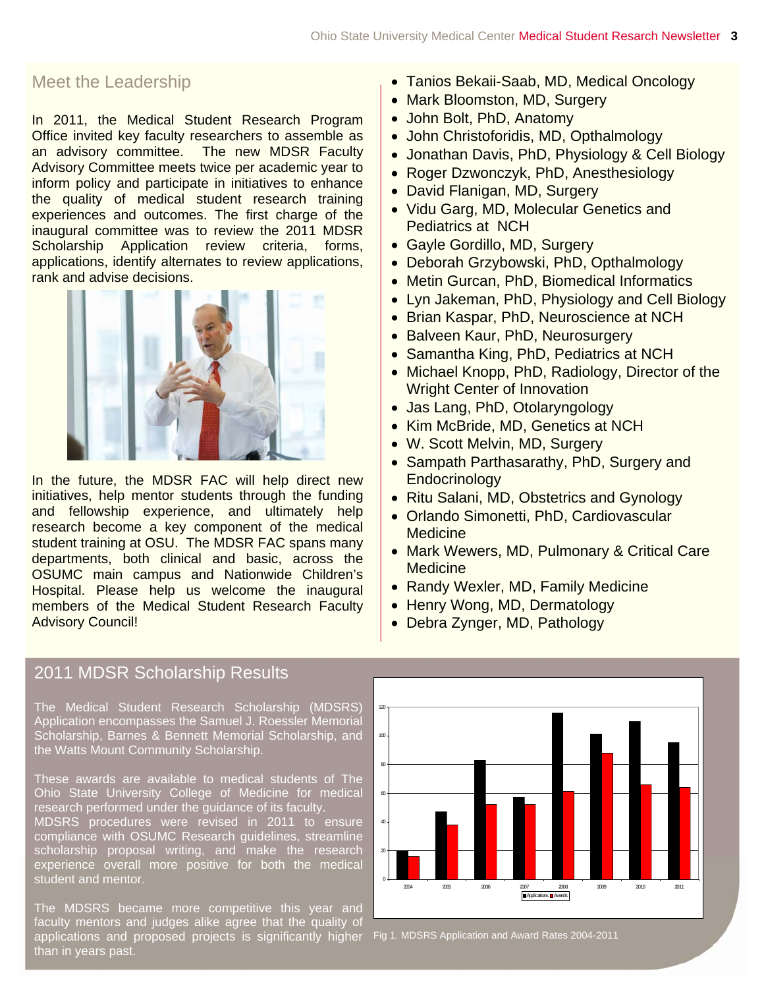#### Meet the Leadership

In 2011, the Medical Student Research Program inform policy and participate in initiatives to enhance the quality of medical student research training inaugural committee was to review the 2011 MDSR rank and advise decisions. Office invited key faculty researchers to assemble as an advisory committee. The new MDSR Faculty Advisory Committee meets twice per academic year to experiences and outcomes. The first charge of the Scholarship Application review criteria, forms, applications, identify alternates to review applications,



In the future, the MDSR FAC will help direct new initiatives, help mentor students through the funding and fellowship experience, and ultimately help research become a key component of the medical student training at OSU. The MDSR FAC spans many departments, both clinical and basic, across the OSUMC main campus and Nationwide Children's Hospital. Please help us welcome the inaugural members of the Medical Student Research Faculty Advisory Council!

#### 2 011 MDSR Scholarship Results

T he Medical Student Research Scholarship (MDSRS) A pplication encompasses the Samuel J. Roessler Memorial S cholarship, Barnes & Bennett Memorial Scholarship, and he Watts Mount Community Scholarship.

T hese awards are available to medical students of The O hio State University College of Medicine for medical r esearch performed under the guidance of its faculty.

M c s cholarship proposal writing, and make the research e xperience overall more positive for both the medical s tudent and mentor. DSRS procedures were revised in 2011 to ensure ompliance with OSUMC Research guidelines, streamline

T f he MDSRS became more competitive this year and aculty mentors and judges alike agree that the quality of applications and proposed projects is significantly higher Fig 1. MDSRS Application and Award Rates 2004-2011 than in years past.

- Tanios Bekaii-Saab, MD, Medical Oncology
- Mark Bloomston, MD, Surgery
- John Bolt, PhD, Anatomy
- John Christoforidis, MD, Opthalmology
- Jonathan Davis, PhD, Physiology & Cell Biology
- Roger Dzwonczyk, PhD, Anesthesiology
- David Flanigan, MD, Surgery
- Vidu Garg, MD, Molecular Genetics and Pediatrics at NCH
- Gayle Gordillo, MD, Surgery
- Deborah Grzybowski, PhD, Opthalmology
- Metin Gurcan, PhD, Biomedical Informatics
- Lyn Jakeman, PhD, Physiology and Cell Biology
- Brian Kaspar, PhD, Neuroscience at NCH
- Balveen Kaur, PhD, Neurosurgery
- Samantha King, PhD, Pediatrics at NCH
- Michael Knopp, PhD, Radiology, Director of the Wright Center of Innovation
- Jas Lang, PhD, Otolaryngology
- Kim McBride, MD, Genetics at NCH
- W. Scott Melvin, MD, Surgery
- Sampath Parthasarathy, PhD, Surgery and **Endocrinology**
- Ritu Salani, MD, Obstetrics and Gynology
- Orlando Simonetti, PhD, Cardiovascular **Medicine**
- Mark Wewers, MD, Pulmonary & Critical Care **Medicine**
- Randy Wexler, MD, Family Medicine
- Henry Wong, MD, Dermatology
- Debra Zynger, MD, Pathology